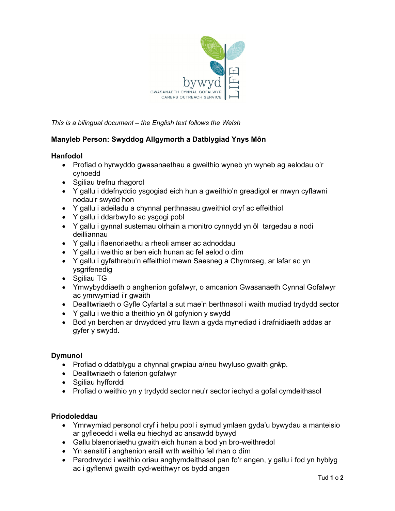

*This is a bilingual document – the English text follows the Welsh* 

# **Manyleb Person: Swyddog Allgymorth a Datblygiad Ynys Môn**

#### **Hanfodol**

- Profiad o hyrwyddo gwasanaethau a gweithio wyneb yn wyneb ag aelodau o'r cyhoedd
- Sgiliau trefnu rhagorol
- Y gallu i ddefnyddio ysgogiad eich hun a gweithio'n greadigol er mwyn cyflawni nodau'r swydd hon
- Y gallu i adeiladu a chynnal perthnasau gweithiol cryf ac effeithiol
- Y gallu i ddarbwyllo ac ysgogi pobl
- Y gallu i gynnal sustemau olrhain a monitro cynnydd yn ôl targedau a nodi deilliannau
- Y gallu i flaenoriaethu a rheoli amser ac adnoddau
- Y gallu i weithio ar ben eich hunan ac fel aelod o dîm
- Y gallu i gyfathrebu'n effeithiol mewn Saesneg a Chymraeg, ar lafar ac yn ysgrifenedig
- Sqiliau TG
- Ymwybyddiaeth o anghenion gofalwyr, o amcanion Gwasanaeth Cynnal Gofalwyr ac ymrwymiad i'r gwaith
- Dealltwriaeth o Gyfle Cyfartal a sut mae'n berthnasol i waith mudiad trydydd sector
- Y gallu i weithio a theithio yn ôl gofynion y swydd
- Bod yn berchen ar drwydded yrru llawn a gyda mynediad i drafnidiaeth addas ar gyfer y swydd.

#### **Dymunol**

- Profiad o ddatblygu a chynnal grwpiau a/neu hwyluso gwaith grŵp.
- Dealltwriaeth o faterion gofalwyr
- Sgiliau hyfforddi
- Profiad o weithio yn y trydydd sector neu'r sector iechyd a gofal cymdeithasol

#### **Priodoleddau**

- Ymrwymiad personol cryf i helpu pobl i symud ymlaen gyda'u bywydau a manteisio ar gyfleoedd i wella eu hiechyd ac ansawdd bywyd
- Gallu blaenoriaethu gwaith eich hunan a bod yn bro-weithredol
- Yn sensitif i anghenion eraill wrth weithio fel rhan o dîm
- Parodrwydd i weithio oriau anghymdeithasol pan fo'r angen, y gallu i fod yn hyblyg ac i gyflenwi gwaith cyd-weithwyr os bydd angen